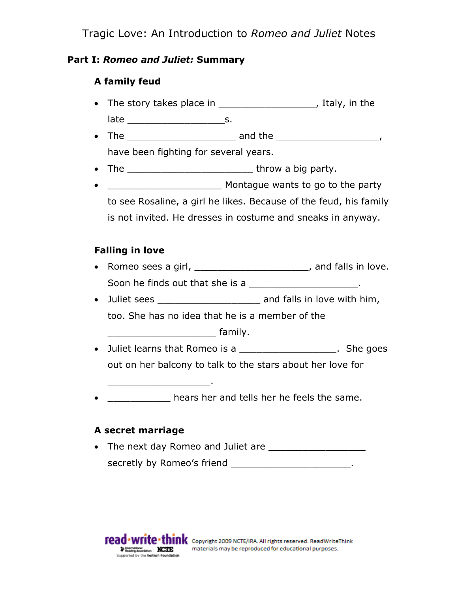### **Part I:** *Romeo and Juliet:* **Summary**

# **A family feud**

• The story takes place in \_\_\_\_\_\_\_\_\_\_\_\_\_\_\_\_\_\_, Italy, in the

late \_\_\_\_\_\_\_\_\_\_\_\_\_\_\_\_\_s.

- The  $\overline{\phantom{a}}$  and the  $\overline{\phantom{a}}$ have been fighting for several years.
- The throw a big party.
- **Example 2** Montague wants to go to the party to see Rosaline, a girl he likes. Because of the feud, his family is not invited. He dresses in costume and sneaks in anyway.

# **Falling in love**

- Romeo sees a girl, the contract of the contract of the Romeo sees a girl, Soon he finds out that she is a \_\_\_\_\_\_\_\_\_\_\_\_\_\_\_\_\_\_\_\_\_.
- Juliet sees \_\_\_\_\_\_\_\_\_\_\_\_\_\_\_\_\_\_\_\_\_\_\_ and falls in love with him,

too. She has no idea that he is a member of the

\_\_\_\_\_\_\_\_\_\_\_\_\_\_\_\_\_\_\_ family.

- Juliet learns that Romeo is a \_\_\_\_\_\_\_\_\_\_\_\_\_\_\_\_\_\_\_\_. She goes out on her balcony to talk to the stars about her love for
- $\bullet$  \_\_\_\_\_\_\_\_\_\_\_\_\_\_ hears her and tells her he feels the same.

# **A secret marriage**

\_\_\_\_\_\_\_\_\_\_\_\_\_\_\_\_\_\_.

 The next day Romeo and Juliet are \_\_\_\_\_\_\_\_\_\_\_\_\_\_\_\_\_ secretly by Romeo's friend \_\_\_\_\_\_\_\_\_\_\_\_\_\_\_\_\_\_\_\_\_\_\_\_.

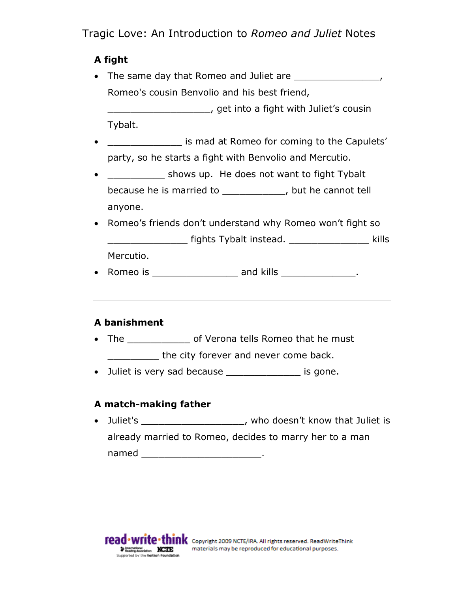# **A fight**

- The same day that Romeo and Juliet are  $\blacksquare$ Romeo's cousin Benvolio and his best friend, \_\_\_\_\_\_\_\_\_\_\_\_\_\_\_\_\_\_, get into a fight with Juliet's cousin Tybalt.
- is mad at Romeo for coming to the Capulets' party, so he starts a fight with Benvolio and Mercutio.
- \_\_\_\_\_\_\_\_\_\_\_ shows up. He does not want to fight Tybalt because he is married to \_\_\_\_\_\_\_\_\_\_\_, but he cannot tell anyone.
- Romeo's friends don't understand why Romeo won't fight so \_\_\_\_\_\_\_\_\_\_\_\_\_\_ fights Tybalt instead. \_\_\_\_\_\_\_\_\_\_\_\_\_\_ kills Mercutio.
- Romeo is \_\_\_\_\_\_\_\_\_\_\_\_\_\_\_\_\_\_\_\_\_ and kills \_\_\_\_\_\_\_\_\_\_\_\_\_\_\_.

# **A banishment**

- The \_\_\_\_\_\_\_\_\_\_\_\_\_ of Verona tells Romeo that he must the city forever and never come back.
- Juliet is very sad because \_\_\_\_\_\_\_\_\_\_\_\_\_ is gone.

# **A match-making father**

• Juliet's \_\_\_\_\_\_\_\_\_\_\_\_\_\_\_\_\_\_\_, who doesn't know that Juliet is already married to Romeo, decides to marry her to a man named the contract of the contract of the contract of the contract of the contract of the contract of the contract of the contract of the contract of the contract of the contract of the contract of the contract of the cont

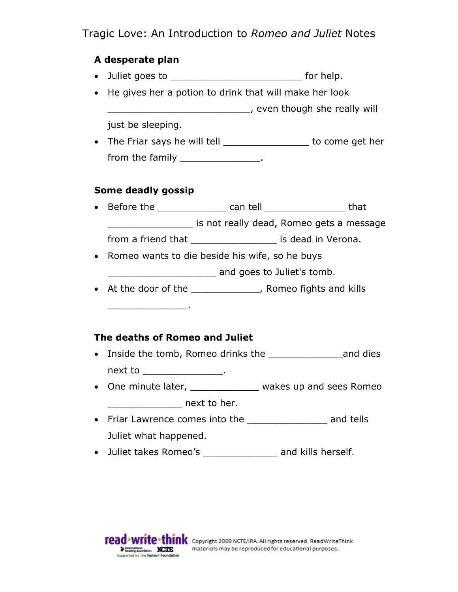### **A desperate plan**

- Juliet goes to **b** for help.
- He gives her a potion to drink that will make her look \_\_\_\_\_\_\_\_\_\_\_\_\_\_\_\_\_\_\_\_\_\_\_\_\_, even though she really will just be sleeping.
- The Friar says he will tell \_\_\_\_\_\_\_\_\_\_\_\_\_\_\_\_ to come get her from the family \_\_\_\_\_\_\_\_\_\_\_\_\_\_\_.

#### **Some deadly gossip**

\_\_\_\_\_\_\_\_\_\_\_\_\_\_.

- Before the \_\_\_\_\_\_\_\_\_\_\_\_\_\_\_ can tell \_\_\_\_\_\_\_\_\_\_\_\_\_\_\_\_\_\_\_\_ that \_\_\_\_\_\_\_\_\_\_\_\_\_\_\_ is not really dead, Romeo gets a message from a friend that \_\_\_\_\_\_\_\_\_\_\_\_\_\_\_\_\_\_\_\_\_ is dead in Verona.
- Romeo wants to die beside his wife, so he buys \_\_\_\_\_\_\_\_\_\_\_\_\_\_\_\_\_\_\_ and goes to Juliet's tomb.
- At the door of the same of the set of the set of the set of the set of the set of the set of the set of the set of the set of the set of the set of the set of the set of the set of the set of the set of the set of the se

#### **The deaths of Romeo and Juliet**

- Inside the tomb, Romeo drinks the example and dies next to \_\_\_\_\_\_\_\_\_\_\_\_\_\_\_\_.
- One minute later, wakes up and sees Romeo dext to her.
- Friar Lawrence comes into the \_\_\_\_\_\_\_\_\_\_\_\_\_\_\_\_ and tells Juliet what happened.
- Juliet takes Romeo's \_\_\_\_\_\_\_\_\_\_\_\_\_\_ and kills herself.

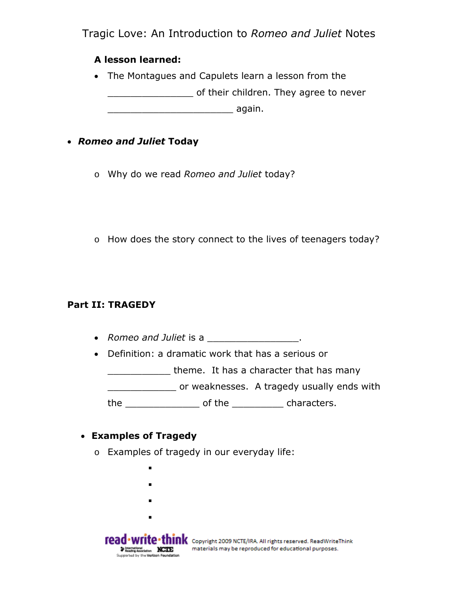#### **A lesson learned:**

 The Montagues and Capulets learn a lesson from the \_\_\_\_\_\_\_\_\_\_\_\_\_\_\_ of their children. They agree to never \_\_\_\_\_\_\_\_\_\_\_\_\_\_\_\_\_\_\_\_\_\_ again.

### *Romeo and Juliet* **Today**

- o Why do we read *Romeo and Juliet* today?
- o How does the story connect to the lives of teenagers today?

#### **Part II: TRAGEDY**

- *Romeo and Juliet* is a \_\_\_\_\_\_\_\_\_\_\_\_\_\_\_\_.
- Definition: a dramatic work that has a serious or

**where.** It has a character that has many

\_\_\_\_\_\_\_\_\_\_\_\_ or weaknesses. A tragedy usually ends with

the \_\_\_\_\_\_\_\_\_\_\_\_\_ of the \_\_\_\_\_\_\_\_\_ characters.

#### **Examples of Tragedy**

- o Examples of tragedy in our everyday life:
	- .
	- .
	- .
	- .

**read** • **write • think** Copyright 2009 NCTE/IRA. All rights reserved. ReadWriteThink where the section of the contract of the contract of the section of the section of the contract of the contract of the contract of the contract of the contract of the contract of the contract of the contract of the contrac